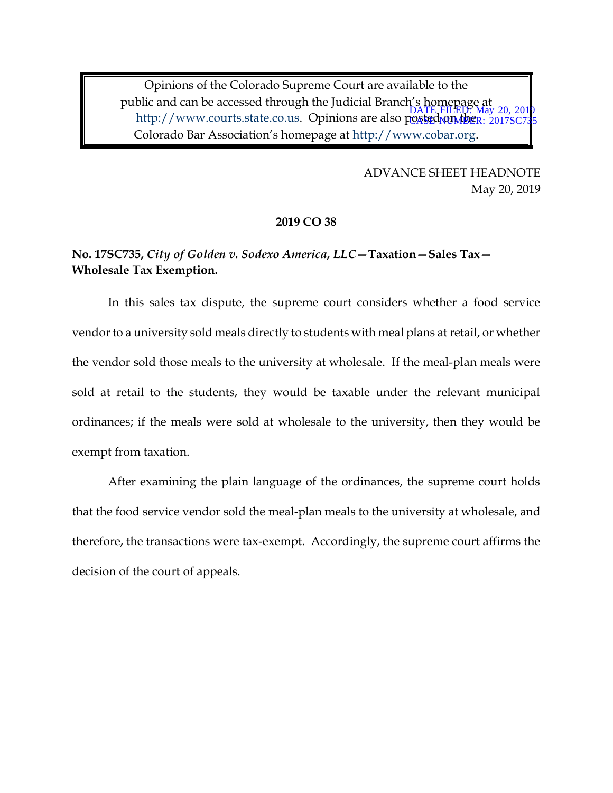Opinions of the Colorado Supreme Court are available to the public and can be accessed through the Judicial Branch's homepage at and the contract of the contract of the contract of the contract of the posted on the contract of the http://www.courts.state.co.us. Opinions are also posted parties. Colorado Bar Association's homepage at http://www.cobar.org. CASECNUMBER: 2017SC785

> ADVANCE SHEET HEADNOTE May 20, 2019

#### **2019 CO 38**

# **No. 17SC735,** *City of Golden v. Sodexo America, LLC***—Taxation—Sales Tax— Wholesale Tax Exemption.**

In this sales tax dispute, the supreme court considers whether a food service vendor to a university sold meals directly to students with meal plans at retail, or whether the vendor sold those meals to the university at wholesale. If the meal-plan meals were sold at retail to the students, they would be taxable under the relevant municipal ordinances; if the meals were sold at wholesale to the university, then they would be exempt from taxation.

After examining the plain language of the ordinances, the supreme court holds that the food service vendor sold the meal-plan meals to the university at wholesale, and therefore, the transactions were tax-exempt. Accordingly, the supreme court affirms the decision of the court of appeals.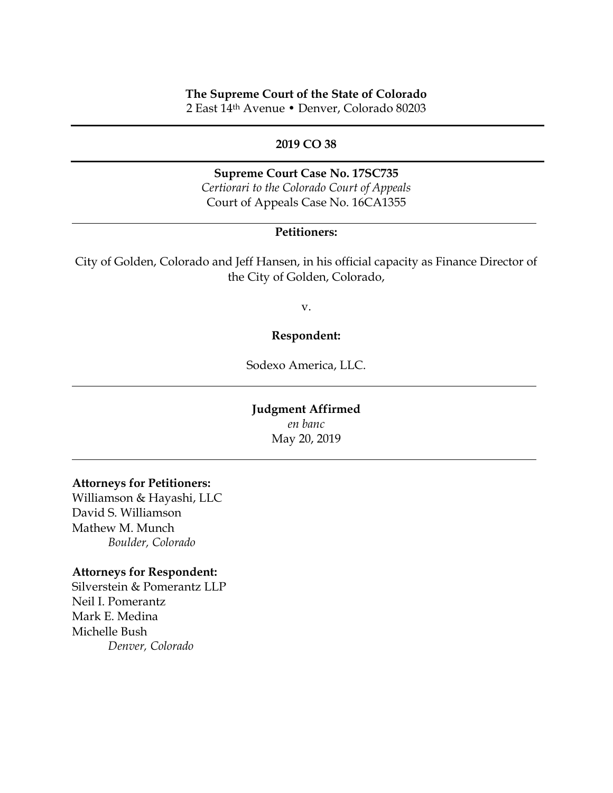### **The Supreme Court of the State of Colorado**

2 East 14th Avenue • Denver, Colorado 80203

### **2019 CO 38**

# **Supreme Court Case No. 17SC735**

*Certiorari to the Colorado Court of Appeals* Court of Appeals Case No. 16CA1355

## **Petitioners:**

City of Golden, Colorado and Jeff Hansen, in his official capacity as Finance Director of the City of Golden, Colorado,

v.

### **Respondent:**

Sodexo America, LLC.

### **Judgment Affirmed** *en banc*

May 20, 2019

#### **Attorneys for Petitioners:**

Williamson & Hayashi, LLC David S. Williamson Mathew M. Munch *Boulder, Colorado*

#### **Attorneys for Respondent:**

Silverstein & Pomerantz LLP Neil I. Pomerantz Mark E. Medina Michelle Bush *Denver, Colorado*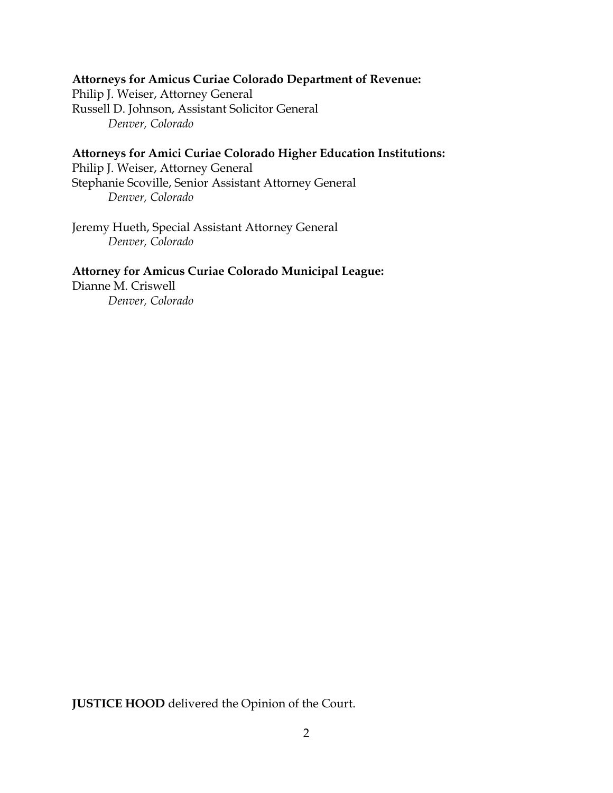# **Attorneys for Amicus Curiae Colorado Department of Revenue:**

Philip J. Weiser, Attorney General Russell D. Johnson, Assistant Solicitor General *Denver, Colorado*

# **Attorneys for Amici Curiae Colorado Higher Education Institutions:**

Philip J. Weiser, Attorney General Stephanie Scoville, Senior Assistant Attorney General *Denver, Colorado*

Jeremy Hueth, Special Assistant Attorney General *Denver, Colorado*

## **Attorney for Amicus Curiae Colorado Municipal League:**

Dianne M. Criswell *Denver, Colorado*

**JUSTICE HOOD** delivered the Opinion of the Court.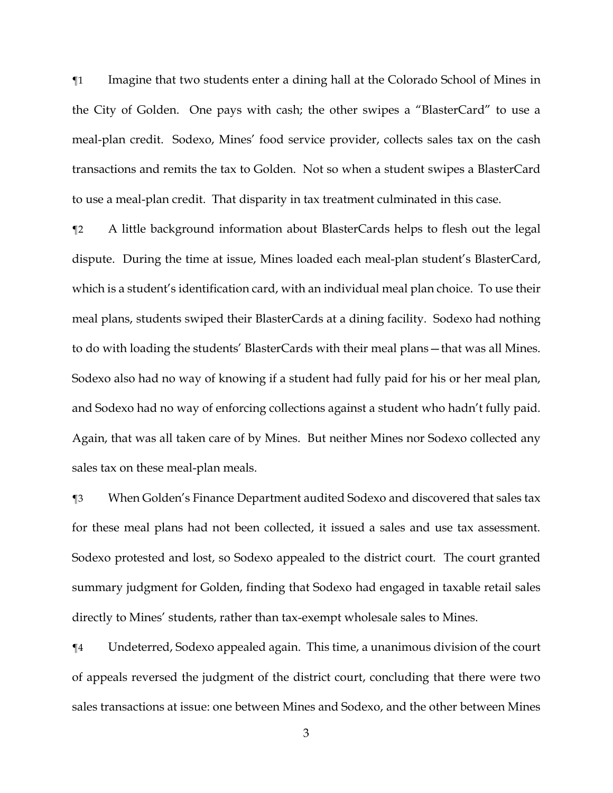¶1 Imagine that two students enter a dining hall at the Colorado School of Mines in the City of Golden. One pays with cash; the other swipes a "BlasterCard" to use a meal-plan credit. Sodexo, Mines' food service provider, collects sales tax on the cash transactions and remits the tax to Golden. Not so when a student swipes a BlasterCard to use a meal-plan credit. That disparity in tax treatment culminated in this case.

¶2 A little background information about BlasterCards helps to flesh out the legal dispute. During the time at issue, Mines loaded each meal-plan student's BlasterCard, which is a student's identification card, with an individual meal plan choice. To use their meal plans, students swiped their BlasterCards at a dining facility. Sodexo had nothing to do with loading the students' BlasterCards with their meal plans—that was all Mines. Sodexo also had no way of knowing if a student had fully paid for his or her meal plan, and Sodexo had no way of enforcing collections against a student who hadn't fully paid. Again, that was all taken care of by Mines. But neither Mines nor Sodexo collected any sales tax on these meal-plan meals.

¶3 When Golden's Finance Department audited Sodexo and discovered that sales tax for these meal plans had not been collected, it issued a sales and use tax assessment. Sodexo protested and lost, so Sodexo appealed to the district court. The court granted summary judgment for Golden, finding that Sodexo had engaged in taxable retail sales directly to Mines' students, rather than tax-exempt wholesale sales to Mines.

¶4 Undeterred, Sodexo appealed again. This time, a unanimous division of the court of appeals reversed the judgment of the district court, concluding that there were two sales transactions at issue: one between Mines and Sodexo, and the other between Mines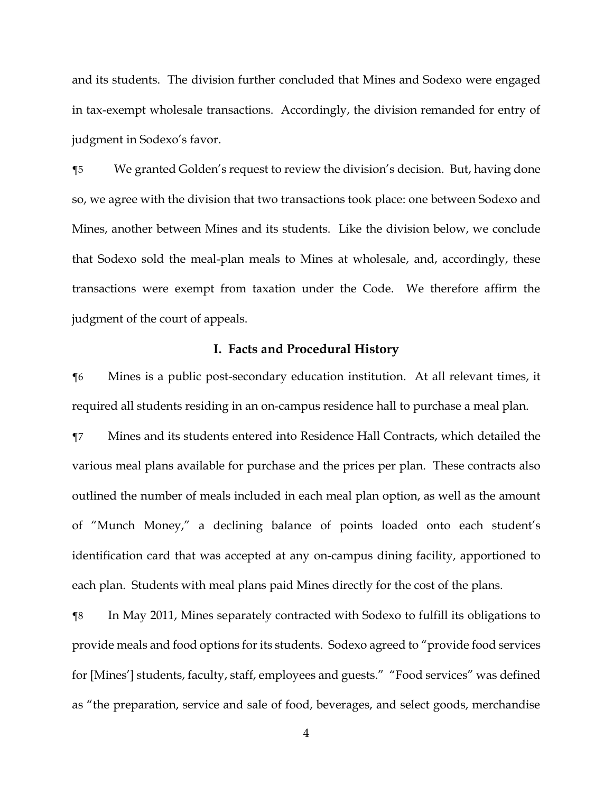and its students. The division further concluded that Mines and Sodexo were engaged in tax-exempt wholesale transactions. Accordingly, the division remanded for entry of judgment in Sodexo's favor.

¶5 We granted Golden's request to review the division's decision. But, having done so, we agree with the division that two transactions took place: one between Sodexo and Mines, another between Mines and its students. Like the division below, we conclude that Sodexo sold the meal-plan meals to Mines at wholesale, and, accordingly, these transactions were exempt from taxation under the Code. We therefore affirm the judgment of the court of appeals.

#### **I. Facts and Procedural History**

¶6 Mines is a public post-secondary education institution. At all relevant times, it required all students residing in an on-campus residence hall to purchase a meal plan.

¶7 Mines and its students entered into Residence Hall Contracts, which detailed the various meal plans available for purchase and the prices per plan. These contracts also outlined the number of meals included in each meal plan option, as well as the amount of "Munch Money," a declining balance of points loaded onto each student's identification card that was accepted at any on-campus dining facility, apportioned to each plan. Students with meal plans paid Mines directly for the cost of the plans.

¶8 In May 2011, Mines separately contracted with Sodexo to fulfill its obligations to provide meals and food options for its students. Sodexo agreed to "provide food services for [Mines'] students, faculty, staff, employees and guests." "Food services" was defined as "the preparation, service and sale of food, beverages, and select goods, merchandise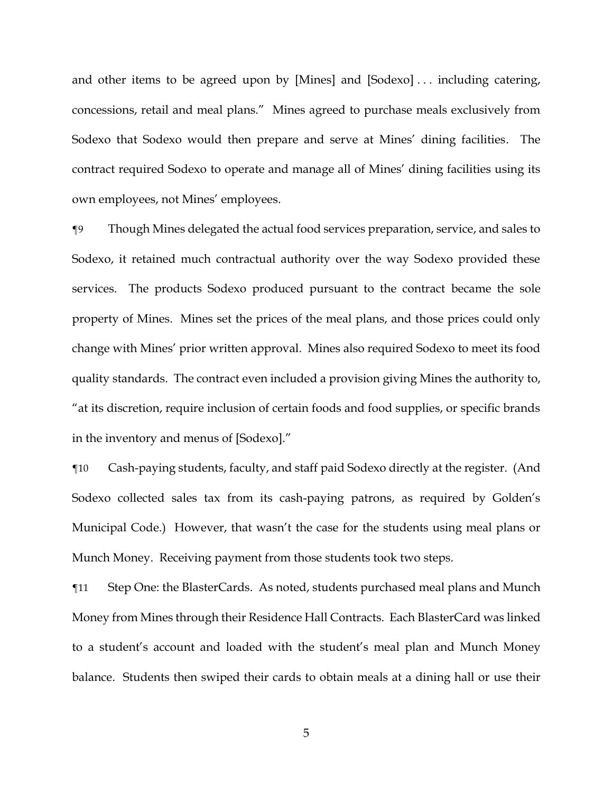and other items to be agreed upon by [Mines] and [Sodexo] . . . including catering, concessions, retail and meal plans." Mines agreed to purchase meals exclusively from Sodexo that Sodexo would then prepare and serve at Mines' dining facilities. The contract required Sodexo to operate and manage all of Mines' dining facilities using its own employees, not Mines' employees.

¶9 Though Mines delegated the actual food services preparation, service, and sales to Sodexo, it retained much contractual authority over the way Sodexo provided these services. The products Sodexo produced pursuant to the contract became the sole property of Mines. Mines set the prices of the meal plans, and those prices could only change with Mines' prior written approval. Mines also required Sodexo to meet its food quality standards. The contract even included a provision giving Mines the authority to, "at its discretion, require inclusion of certain foods and food supplies, or specific brands in the inventory and menus of [Sodexo]."

¶10 Cash-paying students, faculty, and staff paid Sodexo directly at the register. (And Sodexo collected sales tax from its cash-paying patrons, as required by Golden's Municipal Code.) However, that wasn't the case for the students using meal plans or Munch Money. Receiving payment from those students took two steps.

¶11 Step One: the BlasterCards. As noted, students purchased meal plans and Munch Money from Mines through their Residence Hall Contracts. Each BlasterCard was linked to a student's account and loaded with the student's meal plan and Munch Money balance. Students then swiped their cards to obtain meals at a dining hall or use their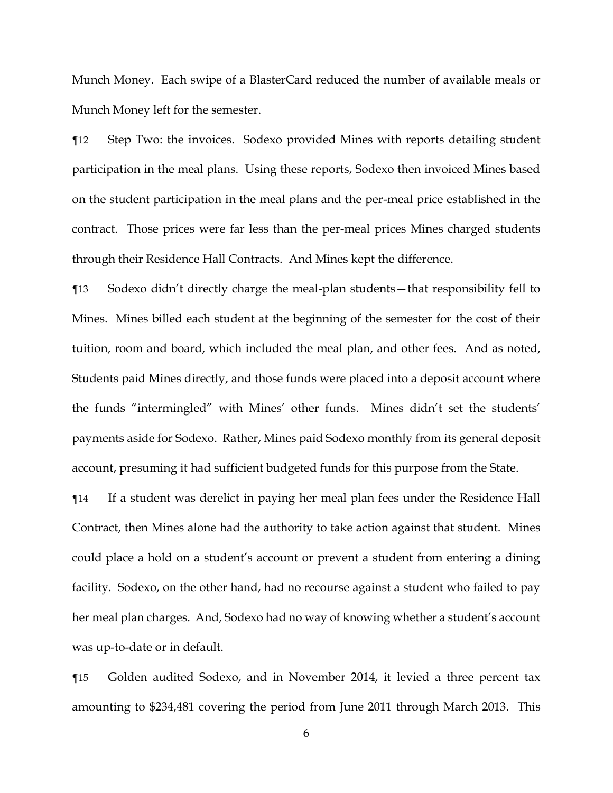Munch Money. Each swipe of a BlasterCard reduced the number of available meals or Munch Money left for the semester.

¶12 Step Two: the invoices. Sodexo provided Mines with reports detailing student participation in the meal plans. Using these reports, Sodexo then invoiced Mines based on the student participation in the meal plans and the per-meal price established in the contract. Those prices were far less than the per-meal prices Mines charged students through their Residence Hall Contracts. And Mines kept the difference.

¶13 Sodexo didn't directly charge the meal-plan students—that responsibility fell to Mines. Mines billed each student at the beginning of the semester for the cost of their tuition, room and board, which included the meal plan, and other fees. And as noted, Students paid Mines directly, and those funds were placed into a deposit account where the funds "intermingled" with Mines' other funds. Mines didn't set the students' payments aside for Sodexo. Rather, Mines paid Sodexo monthly from its general deposit account, presuming it had sufficient budgeted funds for this purpose from the State.

¶14 If a student was derelict in paying her meal plan fees under the Residence Hall Contract, then Mines alone had the authority to take action against that student. Mines could place a hold on a student's account or prevent a student from entering a dining facility. Sodexo, on the other hand, had no recourse against a student who failed to pay her meal plan charges. And, Sodexo had no way of knowing whether a student's account was up-to-date or in default.

¶15 Golden audited Sodexo, and in November 2014, it levied a three percent tax amounting to \$234,481 covering the period from June 2011 through March 2013. This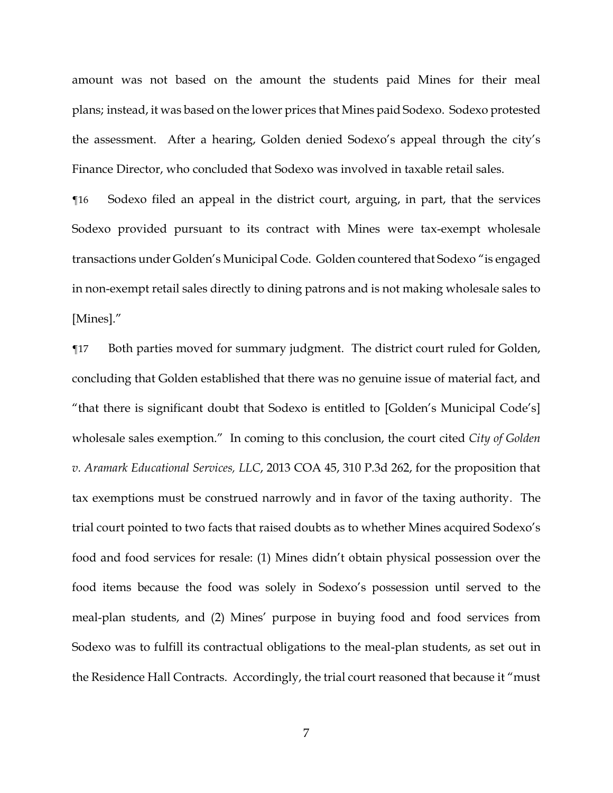amount was not based on the amount the students paid Mines for their meal plans; instead, it was based on the lower prices that Mines paid Sodexo. Sodexo protested the assessment. After a hearing, Golden denied Sodexo's appeal through the city's Finance Director, who concluded that Sodexo was involved in taxable retail sales.

¶16 Sodexo filed an appeal in the district court, arguing, in part, that the services Sodexo provided pursuant to its contract with Mines were tax-exempt wholesale transactions under Golden's Municipal Code. Golden countered that Sodexo "is engaged in non-exempt retail sales directly to dining patrons and is not making wholesale sales to [Mines]."

¶17 Both parties moved for summary judgment. The district court ruled for Golden, concluding that Golden established that there was no genuine issue of material fact, and "that there is significant doubt that Sodexo is entitled to [Golden's Municipal Code's] wholesale sales exemption." In coming to this conclusion, the court cited *City of Golden v. Aramark Educational Services, LLC*, 2013 COA 45, 310 P.3d 262, for the proposition that tax exemptions must be construed narrowly and in favor of the taxing authority. The trial court pointed to two facts that raised doubts as to whether Mines acquired Sodexo's food and food services for resale: (1) Mines didn't obtain physical possession over the food items because the food was solely in Sodexo's possession until served to the meal-plan students, and (2) Mines' purpose in buying food and food services from Sodexo was to fulfill its contractual obligations to the meal-plan students, as set out in the Residence Hall Contracts. Accordingly, the trial court reasoned that because it "must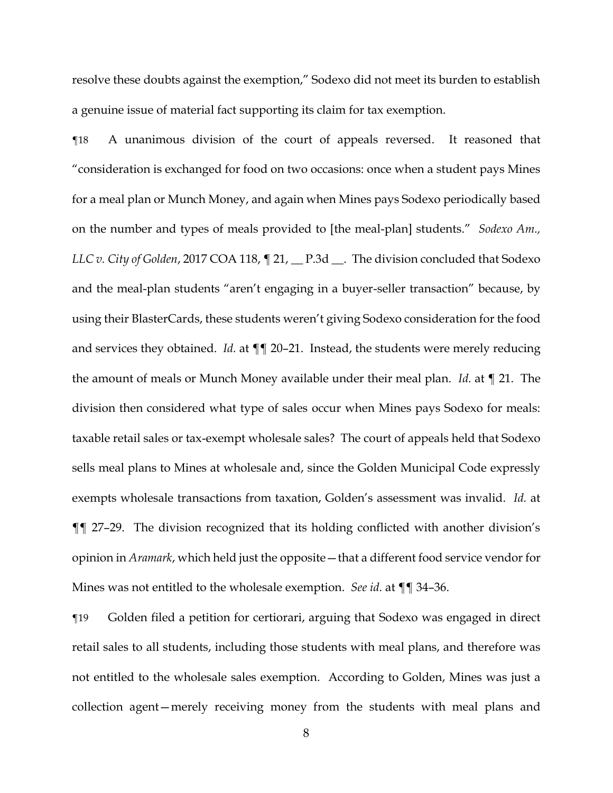resolve these doubts against the exemption," Sodexo did not meet its burden to establish a genuine issue of material fact supporting its claim for tax exemption.

¶18 A unanimous division of the court of appeals reversed. It reasoned that "consideration is exchanged for food on two occasions: once when a student pays Mines for a meal plan or Munch Money, and again when Mines pays Sodexo periodically based on the number and types of meals provided to [the meal-plan] students." *Sodexo Am., LLC v. City of Golden,* 2017 COA 118,  $\P$  21,  $\P$ P.3d  $\P$ . The division concluded that Sodexo and the meal-plan students "aren't engaging in a buyer-seller transaction" because, by using their BlasterCards, these students weren't giving Sodexo consideration for the food and services they obtained. *Id.* at ¶¶ 20–21. Instead, the students were merely reducing the amount of meals or Munch Money available under their meal plan. *Id.* at ¶ 21. The division then considered what type of sales occur when Mines pays Sodexo for meals: taxable retail sales or tax-exempt wholesale sales? The court of appeals held that Sodexo sells meal plans to Mines at wholesale and, since the Golden Municipal Code expressly exempts wholesale transactions from taxation, Golden's assessment was invalid. *Id.* at ¶¶ 27–29. The division recognized that its holding conflicted with another division's opinion in *Aramark*, which held just the opposite—that a different food service vendor for Mines was not entitled to the wholesale exemption. *See id.* at ¶¶ 34–36.

¶19 Golden filed a petition for certiorari, arguing that Sodexo was engaged in direct retail sales to all students, including those students with meal plans, and therefore was not entitled to the wholesale sales exemption. According to Golden, Mines was just a collection agent—merely receiving money from the students with meal plans and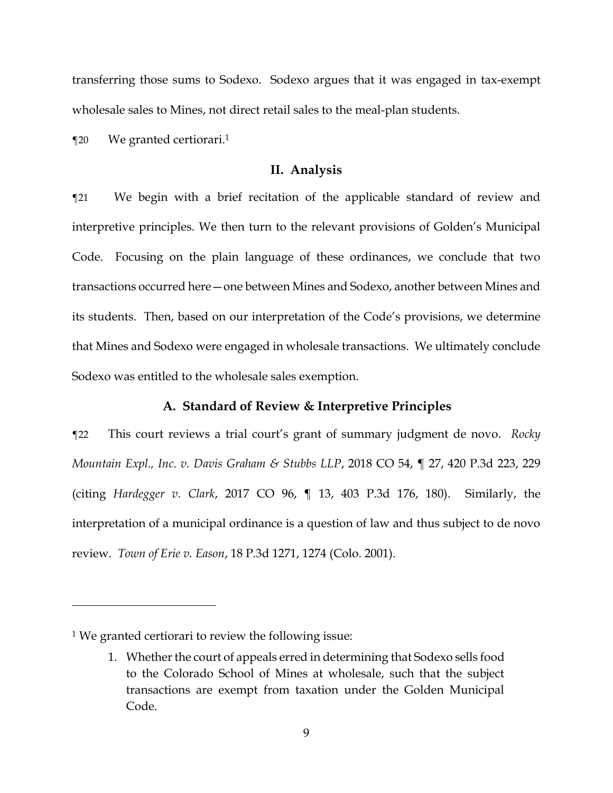transferring those sums to Sodexo. Sodexo argues that it was engaged in tax-exempt wholesale sales to Mines, not direct retail sales to the meal-plan students.

¶20 We granted certiorari. 1

#### **II. Analysis**

¶21 We begin with a brief recitation of the applicable standard of review and interpretive principles. We then turn to the relevant provisions of Golden's Municipal Code. Focusing on the plain language of these ordinances, we conclude that two transactions occurred here—one between Mines and Sodexo, another between Mines and its students. Then, based on our interpretation of the Code's provisions, we determine that Mines and Sodexo were engaged in wholesale transactions. We ultimately conclude Sodexo was entitled to the wholesale sales exemption.

## **A. Standard of Review & Interpretive Principles**

¶22 This court reviews a trial court's grant of summary judgment de novo. *Rocky Mountain Expl., Inc. v. Davis Graham & Stubbs LLP*, 2018 CO 54, ¶ 27, 420 P.3d 223, 229 (citing *Hardegger v. Clark*, 2017 CO 96, ¶ 13, 403 P.3d 176, 180). Similarly, the interpretation of a municipal ordinance is a question of law and thus subject to de novo review. *Town of Erie v. Eason*, 18 P.3d 1271, 1274 (Colo. 2001).

<sup>1</sup> We granted certiorari to review the following issue:

<sup>1.</sup> Whether the court of appeals erred in determining that Sodexo sells food to the Colorado School of Mines at wholesale, such that the subject transactions are exempt from taxation under the Golden Municipal Code.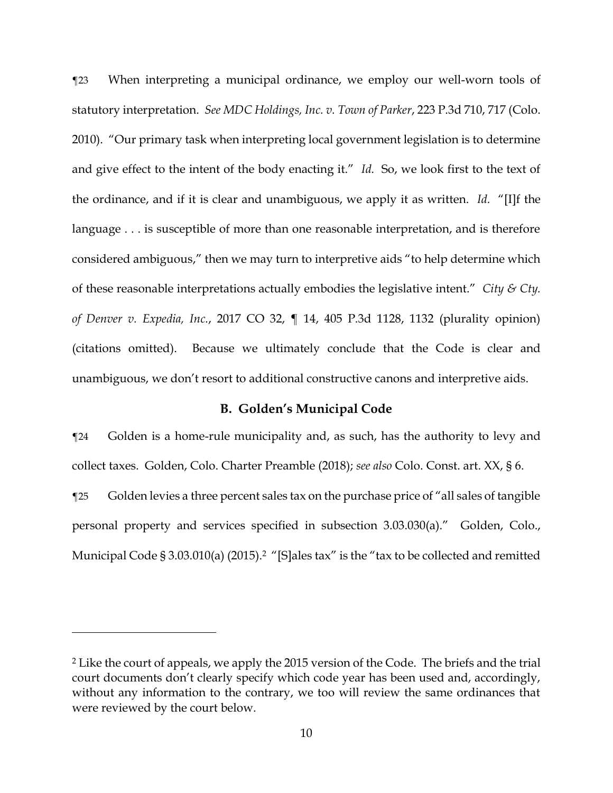¶23 When interpreting a municipal ordinance, we employ our well-worn tools of statutory interpretation. *See MDC Holdings, Inc. v. Town of Parker*, 223 P.3d 710, 717 (Colo. 2010). "Our primary task when interpreting local government legislation is to determine and give effect to the intent of the body enacting it." *Id.* So, we look first to the text of the ordinance, and if it is clear and unambiguous, we apply it as written. *Id.* "[I]f the language . . . is susceptible of more than one reasonable interpretation, and is therefore considered ambiguous," then we may turn to interpretive aids "to help determine which of these reasonable interpretations actually embodies the legislative intent." *City & Cty. of Denver v. Expedia, Inc.*, 2017 CO 32, ¶ 14, 405 P.3d 1128, 1132 (plurality opinion) (citations omitted). Because we ultimately conclude that the Code is clear and unambiguous, we don't resort to additional constructive canons and interpretive aids.

# **B. Golden's Municipal Code**

¶24 Golden is a home-rule municipality and, as such, has the authority to levy and collect taxes. Golden, Colo. Charter Preamble (2018); *see also* Colo. Const. art. XX, § 6. ¶25 Golden levies a three percent sales tax on the purchase price of "all sales of tangible personal property and services specified in subsection 3.03.030(a)." Golden, Colo., Municipal Code § 3.03.010(a) (2015). <sup>2</sup> "[S]ales tax" is the "tax to be collected and remitted

<sup>2</sup> Like the court of appeals, we apply the 2015 version of the Code. The briefs and the trial court documents don't clearly specify which code year has been used and, accordingly, without any information to the contrary, we too will review the same ordinances that were reviewed by the court below.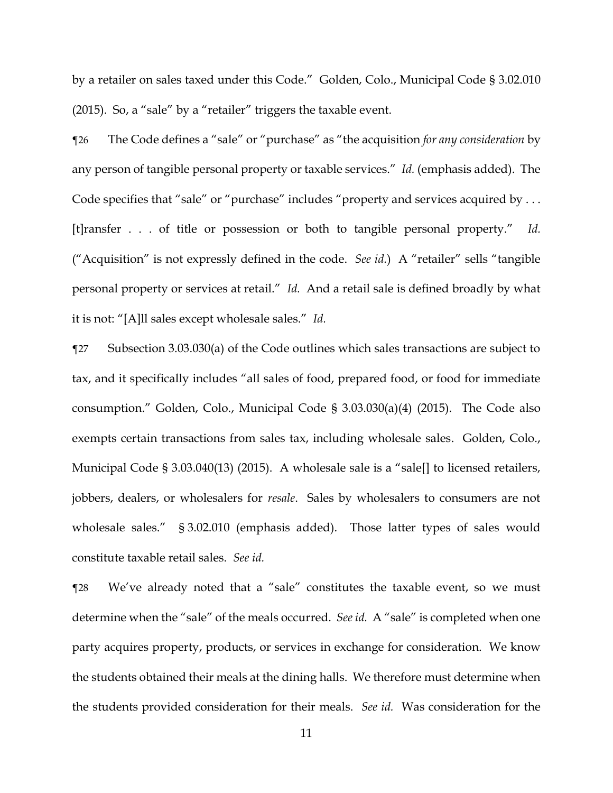by a retailer on sales taxed under this Code." Golden, Colo., Municipal Code § 3.02.010 (2015). So, a "sale" by a "retailer" triggers the taxable event.

¶26 The Code defines a "sale" or "purchase" as "the acquisition *for any consideration* by any person of tangible personal property or taxable services." *Id.* (emphasis added). The Code specifies that "sale" or "purchase" includes "property and services acquired by ... [t]ransfer . . . of title or possession or both to tangible personal property." *Id.* ("Acquisition" is not expressly defined in the code. *See id.*) A "retailer" sells "tangible personal property or services at retail." *Id.* And a retail sale is defined broadly by what it is not: "[A]ll sales except wholesale sales." *Id.*

¶27 Subsection 3.03.030(a) of the Code outlines which sales transactions are subject to tax, and it specifically includes "all sales of food, prepared food, or food for immediate consumption." Golden, Colo., Municipal Code § 3.03.030(a)(4) (2015). The Code also exempts certain transactions from sales tax, including wholesale sales. Golden, Colo., Municipal Code § 3.03.040(13) (2015). A wholesale sale is a "sale[] to licensed retailers, jobbers, dealers, or wholesalers for *resale*. Sales by wholesalers to consumers are not wholesale sales." § 3.02.010 (emphasis added). Those latter types of sales would constitute taxable retail sales. *See id.*

¶28 We've already noted that a "sale" constitutes the taxable event, so we must determine when the "sale" of the meals occurred. *See id.* A "sale" is completed when one party acquires property, products, or services in exchange for consideration. We know the students obtained their meals at the dining halls. We therefore must determine when the students provided consideration for their meals. *See id.* Was consideration for the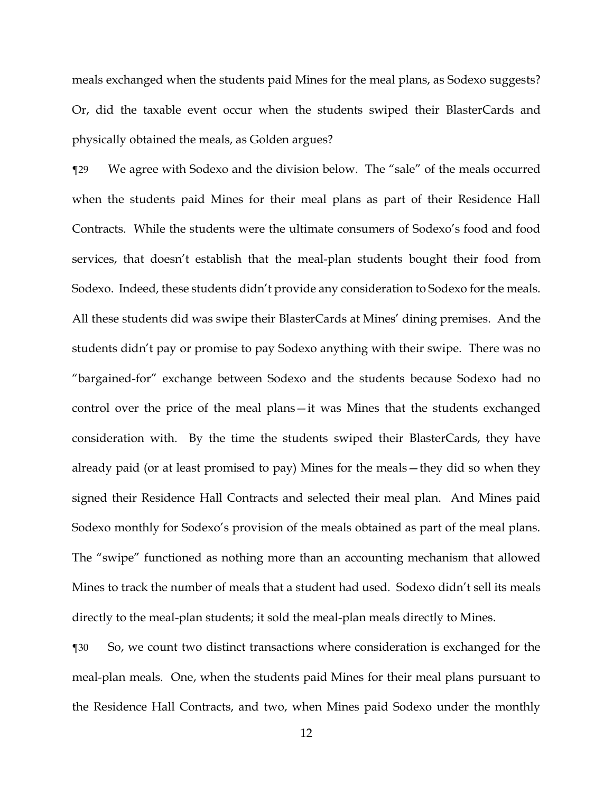meals exchanged when the students paid Mines for the meal plans, as Sodexo suggests? Or, did the taxable event occur when the students swiped their BlasterCards and physically obtained the meals, as Golden argues?

¶29 We agree with Sodexo and the division below. The "sale" of the meals occurred when the students paid Mines for their meal plans as part of their Residence Hall Contracts. While the students were the ultimate consumers of Sodexo's food and food services, that doesn't establish that the meal-plan students bought their food from Sodexo. Indeed, these students didn't provide any consideration to Sodexo for the meals. All these students did was swipe their BlasterCards at Mines' dining premises. And the students didn't pay or promise to pay Sodexo anything with their swipe. There was no "bargained-for" exchange between Sodexo and the students because Sodexo had no control over the price of the meal plans—it was Mines that the students exchanged consideration with. By the time the students swiped their BlasterCards, they have already paid (or at least promised to pay) Mines for the meals—they did so when they signed their Residence Hall Contracts and selected their meal plan. And Mines paid Sodexo monthly for Sodexo's provision of the meals obtained as part of the meal plans. The "swipe" functioned as nothing more than an accounting mechanism that allowed Mines to track the number of meals that a student had used. Sodexo didn't sell its meals directly to the meal-plan students; it sold the meal-plan meals directly to Mines.

¶30 So, we count two distinct transactions where consideration is exchanged for the meal-plan meals. One, when the students paid Mines for their meal plans pursuant to the Residence Hall Contracts, and two, when Mines paid Sodexo under the monthly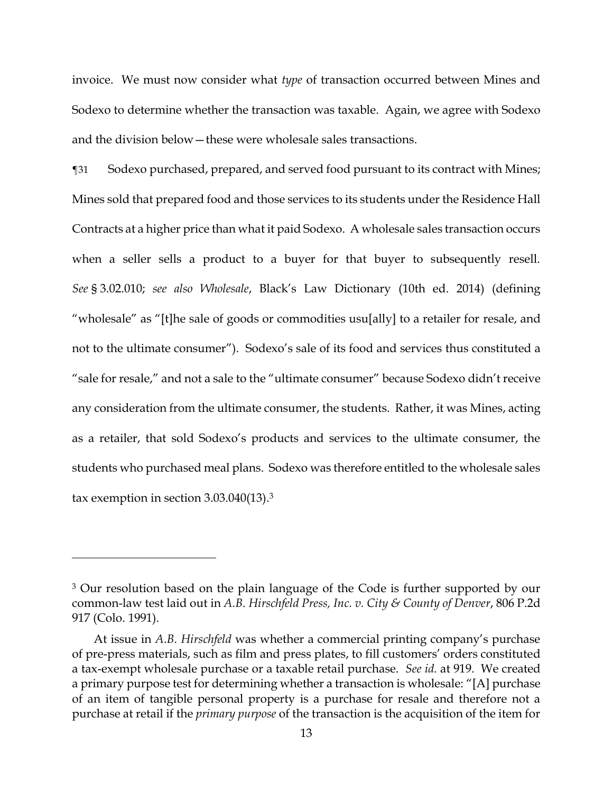invoice. We must now consider what *type* of transaction occurred between Mines and Sodexo to determine whether the transaction was taxable. Again, we agree with Sodexo and the division below—these were wholesale sales transactions.

¶31 Sodexo purchased, prepared, and served food pursuant to its contract with Mines; Mines sold that prepared food and those services to its students under the Residence Hall Contracts at a higher price than what it paid Sodexo. A wholesale sales transaction occurs when a seller sells a product to a buyer for that buyer to subsequently resell. *See* § 3.02.010; *see also Wholesale*, Black's Law Dictionary (10th ed. 2014) (defining "wholesale" as "[t]he sale of goods or commodities usu[ally] to a retailer for resale, and not to the ultimate consumer"). Sodexo's sale of its food and services thus constituted a "sale for resale," and not a sale to the "ultimate consumer" because Sodexo didn't receive any consideration from the ultimate consumer, the students. Rather, it was Mines, acting as a retailer, that sold Sodexo's products and services to the ultimate consumer, the students who purchased meal plans. Sodexo was therefore entitled to the wholesale sales tax exemption in section 3.03.040(13).<sup>3</sup>

<sup>&</sup>lt;sup>3</sup> Our resolution based on the plain language of the Code is further supported by our common-law test laid out in *A.B. Hirschfeld Press, Inc. v. City & County of Denver*, 806 P.2d 917 (Colo. 1991).

At issue in *A.B. Hirschfeld* was whether a commercial printing company's purchase of pre-press materials, such as film and press plates, to fill customers' orders constituted a tax-exempt wholesale purchase or a taxable retail purchase. *See id.* at 919. We created a primary purpose test for determining whether a transaction is wholesale: "[A] purchase of an item of tangible personal property is a purchase for resale and therefore not a purchase at retail if the *primary purpose* of the transaction is the acquisition of the item for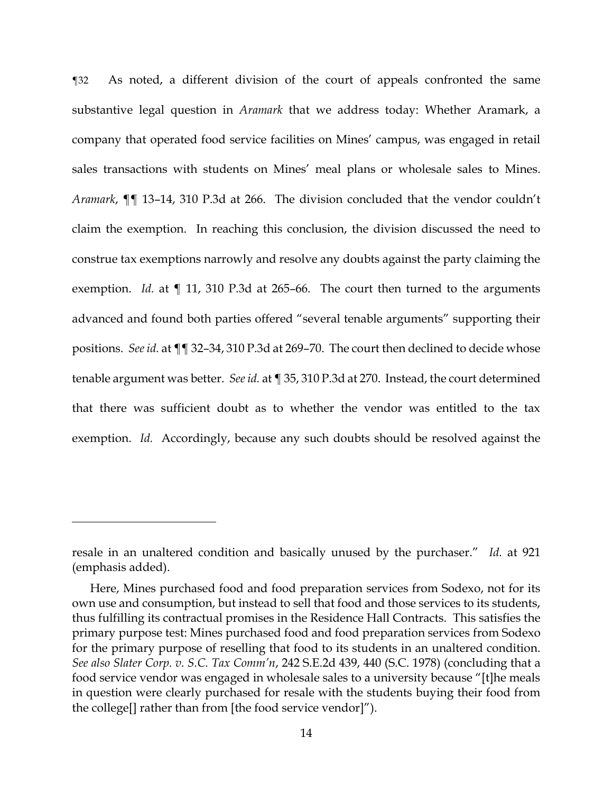¶32 As noted, a different division of the court of appeals confronted the same substantive legal question in *Aramark* that we address today: Whether Aramark, a company that operated food service facilities on Mines' campus, was engaged in retail sales transactions with students on Mines' meal plans or wholesale sales to Mines. *Aramark*, ¶¶ 13–14, 310 P.3d at 266. The division concluded that the vendor couldn't claim the exemption. In reaching this conclusion, the division discussed the need to construe tax exemptions narrowly and resolve any doubts against the party claiming the exemption. *Id.* at ¶ 11, 310 P.3d at 265–66. The court then turned to the arguments advanced and found both parties offered "several tenable arguments" supporting their positions. *See id.* at ¶¶ 32–34, 310 P.3d at 269–70. The court then declined to decide whose tenable argument was better. *See id.* at ¶ 35, 310 P.3d at 270. Instead, the court determined that there was sufficient doubt as to whether the vendor was entitled to the tax exemption. *Id.* Accordingly, because any such doubts should be resolved against the

resale in an unaltered condition and basically unused by the purchaser." *Id.* at 921 (emphasis added).

Here, Mines purchased food and food preparation services from Sodexo, not for its own use and consumption, but instead to sell that food and those services to its students, thus fulfilling its contractual promises in the Residence Hall Contracts. This satisfies the primary purpose test: Mines purchased food and food preparation services from Sodexo for the primary purpose of reselling that food to its students in an unaltered condition. *See also Slater Corp. v. S.C. Tax Comm'n*, 242 S.E.2d 439, 440 (S.C. 1978) (concluding that a food service vendor was engaged in wholesale sales to a university because "[t]he meals in question were clearly purchased for resale with the students buying their food from the college[] rather than from [the food service vendor]").